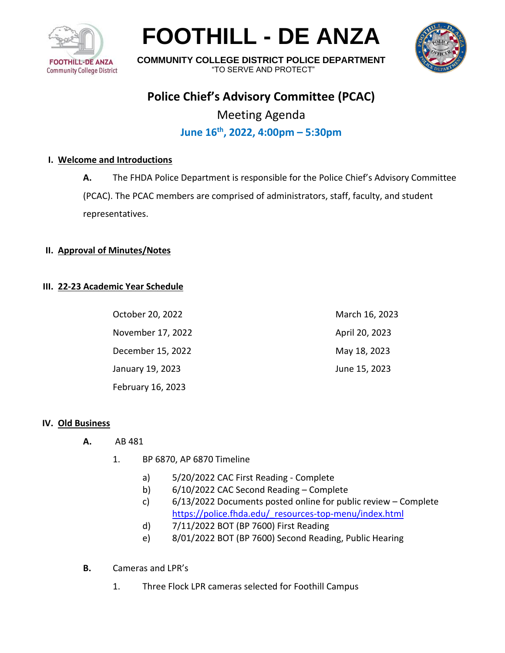

# **FOOTHILL - DE ANZA**



**COMMUNITY COLLEGE DISTRICT POLICE DEPARTMENT** "TO SERVE AND PROTECT"

# **Police Chief's Advisory Committee (PCAC)**

Meeting Agenda **June 16th , 2022, 4:00pm – 5:30pm**

# **I. Welcome and Introductions**

**A.** The FHDA Police Department is responsible for the Police Chief's Advisory Committee (PCAC). The PCAC members are comprised of administrators, staff, faculty, and student representatives.

### **II. Approval of Minutes/Notes**

### **III. 22-23 Academic Year Schedule**

| October 20, 2022  | March 16, 2023 |
|-------------------|----------------|
| November 17, 2022 | April 20, 2023 |
| December 15, 2022 | May 18, 2023   |
| January 19, 2023  | June 15, 2023  |
| February 16, 2023 |                |

#### **IV. Old Business**

- **A.** AB 481
	- 1. BP 6870, AP 6870 Timeline
		- a) 5/20/2022 CAC First Reading Complete
		- b) 6/10/2022 CAC Second Reading Complete
		- c) 6/13/2022 Documents posted online for public review Complete [https://police.fhda.edu/\\_resources-top-menu/index.html](https://police.fhda.edu/_resources-top-menu/index.html)
		- d) 7/11/2022 BOT (BP 7600) First Reading
		- e) 8/01/2022 BOT (BP 7600) Second Reading, Public Hearing
- **B.** Cameras and LPR's
	- 1. Three Flock LPR cameras selected for Foothill Campus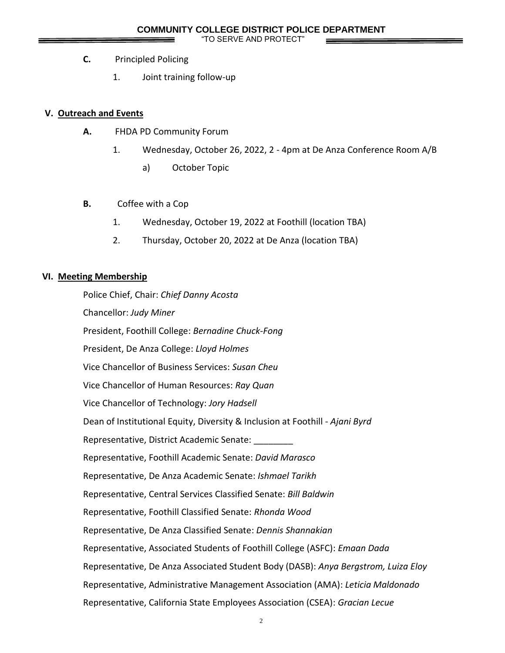"TO SERVE AND PROTECT"

- **C.** Principled Policing
	- 1. Joint training follow-up

## **V. Outreach and Events**

- **A.** FHDA PD Community Forum
	- 1. Wednesday, October 26, 2022, 2 4pm at De Anza Conference Room A/B
		- a) October Topic
- **B.** Coffee with a Cop
	- 1. Wednesday, October 19, 2022 at Foothill (location TBA)
	- 2. Thursday, October 20, 2022 at De Anza (location TBA)

### **VI. Meeting Membership**

Police Chief, Chair: *Chief Danny Acosta* Chancellor: *Judy Miner* President, Foothill College: *Bernadine Chuck-Fong* President, De Anza College: *Lloyd Holmes* Vice Chancellor of Business Services: *Susan Cheu* Vice Chancellor of Human Resources: *Ray Quan* Vice Chancellor of Technology: *Jory Hadsell* Dean of Institutional Equity, Diversity & Inclusion at Foothill - *Ajani Byrd* Representative, District Academic Senate: \_\_\_\_\_\_\_\_ Representative, Foothill Academic Senate: *David Marasco* Representative, De Anza Academic Senate: *Ishmael Tarikh* Representative, Central Services Classified Senate: *Bill Baldwin* Representative, Foothill Classified Senate: *Rhonda Wood* Representative, De Anza Classified Senate: *Dennis Shannakian* Representative, Associated Students of Foothill College (ASFC): *Emaan Dada* Representative, De Anza Associated Student Body (DASB): *Anya Bergstrom, Luiza Eloy* Representative, Administrative Management Association (AMA): *Leticia Maldonado* Representative, California State Employees Association (CSEA): *Gracian Lecue*